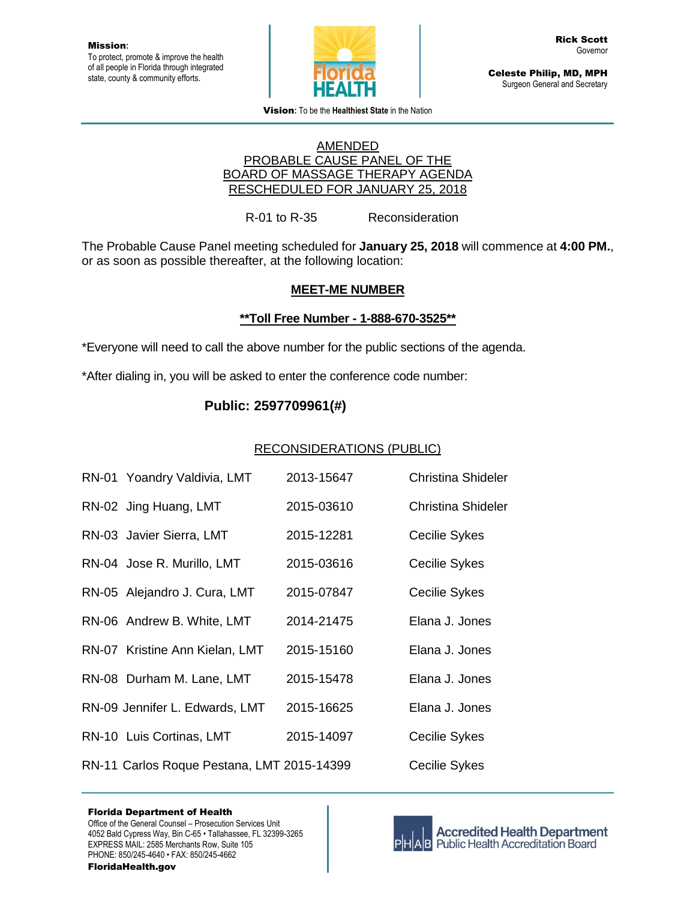

Celeste Philip, MD, MPH Surgeon General and Secretary

Vision**:** To be the **Healthiest State** in the Nation

#### AMENDED PROBABLE CAUSE PANEL OF THE BOARD OF MASSAGE THERAPY AGENDA RESCHEDULED FOR JANUARY 25, 2018

R-01 to R-35 Reconsideration

The Probable Cause Panel meeting scheduled for **January 25, 2018** will commence at **4:00 PM.**, or as soon as possible thereafter, at the following location:

## **MEET-ME NUMBER**

## **\*\*Toll Free Number - 1-888-670-3525\*\***

\*Everyone will need to call the above number for the public sections of the agenda.

\*After dialing in, you will be asked to enter the conference code number:

# **Public: 2597709961(#)**

#### RECONSIDERATIONS (PUBLIC)

| RN-01 Yoandry Valdivia, LMT                | 2013-15647 | Christina Shideler        |
|--------------------------------------------|------------|---------------------------|
| RN-02 Jing Huang, LMT                      | 2015-03610 | <b>Christina Shideler</b> |
| RN-03 Javier Sierra, LMT                   | 2015-12281 | Cecilie Sykes             |
| RN-04 Jose R. Murillo, LMT                 | 2015-03616 | Cecilie Sykes             |
| RN-05 Alejandro J. Cura, LMT               | 2015-07847 | Cecilie Sykes             |
| RN-06 Andrew B. White, LMT                 | 2014-21475 | Elana J. Jones            |
| RN-07 Kristine Ann Kielan, LMT             | 2015-15160 | Elana J. Jones            |
| RN-08 Durham M. Lane, LMT                  | 2015-15478 | Elana J. Jones            |
| RN-09 Jennifer L. Edwards, LMT             | 2015-16625 | Elana J. Jones            |
| RN-10 Luis Cortinas, LMT                   | 2015-14097 | Cecilie Sykes             |
| RN-11 Carlos Roque Pestana, LMT 2015-14399 |            | Cecilie Sykes             |



**Accredited Health Department AB** Public Health Accreditation Board